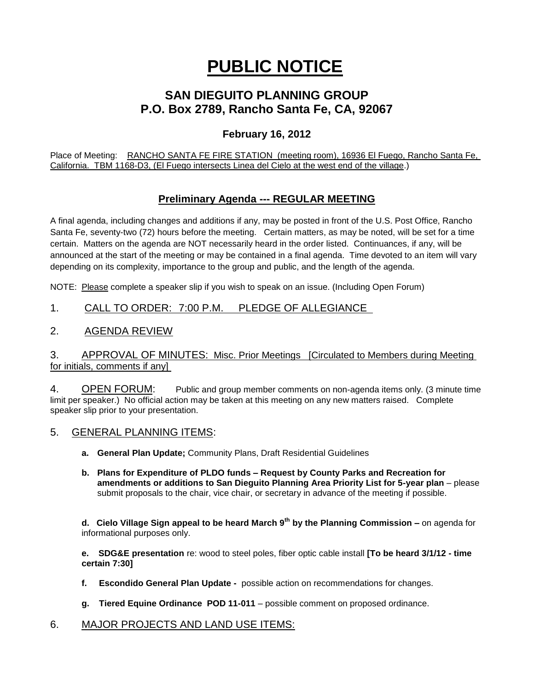# **PUBLIC NOTICE**

# **SAN DIEGUITO PLANNING GROUP P.O. Box 2789, Rancho Santa Fe, CA, 92067**

# **February 16, 2012**

Place of Meeting: RANCHO SANTA FE FIRE STATION (meeting room), 16936 El Fuego, Rancho Santa Fe, California. TBM 1168-D3, (El Fuego intersects Linea del Cielo at the west end of the village.)

# **Preliminary Agenda --- REGULAR MEETING**

A final agenda, including changes and additions if any, may be posted in front of the U.S. Post Office, Rancho Santa Fe, seventy-two (72) hours before the meeting. Certain matters, as may be noted, will be set for a time certain. Matters on the agenda are NOT necessarily heard in the order listed. Continuances, if any, will be announced at the start of the meeting or may be contained in a final agenda. Time devoted to an item will vary depending on its complexity, importance to the group and public, and the length of the agenda.

NOTE: Please complete a speaker slip if you wish to speak on an issue. (Including Open Forum)

## 1. CALL TO ORDER: 7:00 P.M. PLEDGE OF ALLEGIANCE

#### 2. AGENDA REVIEW

#### 3. APPROVAL OF MINUTES: Misc. Prior Meetings [Circulated to Members during Meeting for initials, comments if any]

4. OPEN FORUM: Public and group member comments on non-agenda items only. (3 minute time limit per speaker.) No official action may be taken at this meeting on any new matters raised. Complete speaker slip prior to your presentation.

- 5. GENERAL PLANNING ITEMS:
	- **a. General Plan Update;** Community Plans, Draft Residential Guidelines
	- **b. Plans for Expenditure of PLDO funds – Request by County Parks and Recreation for amendments or additions to San Dieguito Planning Area Priority List for 5-year plan** – please submit proposals to the chair, vice chair, or secretary in advance of the meeting if possible.

**d. Cielo Village Sign appeal to be heard March 9th by the Planning Commission –** on agenda for informational purposes only.

**e. SDG&E presentation** re: wood to steel poles, fiber optic cable install **[To be heard 3/1/12 - time certain 7:30]**

- **f. Escondido General Plan Update -** possible action on recommendations for changes.
- **g. Tiered Equine Ordinance POD 11-011** possible comment on proposed ordinance.

#### 6. MAJOR PROJECTS AND LAND USE ITEMS: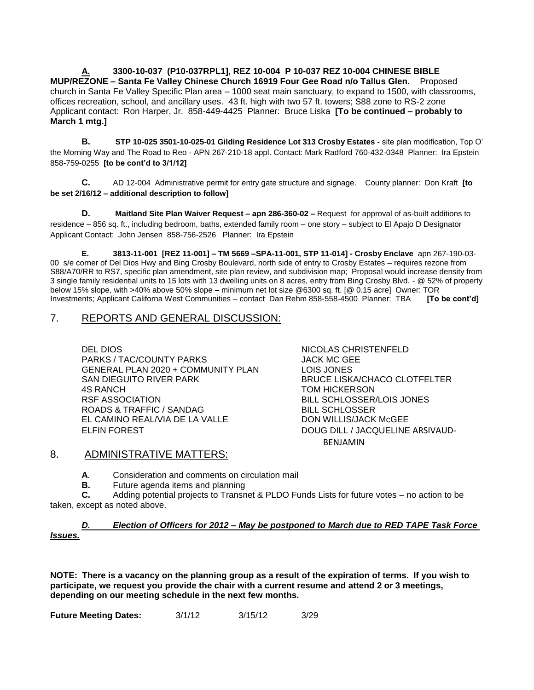**A. 3300-10-037 (P10-037RPL1], REZ 10-004 P 10-037 REZ 10-004 CHINESE BIBLE MUP/REZONE – Santa Fe Valley Chinese Church 16919 Four Gee Road n/o Tallus Glen.** Proposed church in Santa Fe Valley Specific Plan area – 1000 seat main sanctuary, to expand to 1500, with classrooms, offices recreation, school, and ancillary uses. 43 ft. high with two 57 ft. towers; S88 zone to RS-2 zone Applicant contact: Ron Harper, Jr. 858-449-4425 Planner: Bruce Liska **[To be continued – probably to March 1 mtg.]**

**B. STP 10-025 3501-10-025-01 Gilding Residence Lot 313 Crosby Estates -** site plan modification, Top O' the Morning Way and The Road to Reo - APN 267-210-18 appl. Contact: Mark Radford 760-432-0348 Planner: Ira Epstein 858-759-0255 **[to be cont'd to 3/1/12]**

**C.** AD 12-004 Administrative permit for entry gate structure and signage. County planner: Don Kraft **[to be set 2/16/12 – additional description to follow]**

**D. Maitland Site Plan Waiver Request – apn 286-360-02 –** Request for approval of as-built additions to residence – 856 sq. ft., including bedroom, baths, extended family room – one story – subject to El Apajo D Designator Applicant Contact: John Jensen 858-756-2526 Planner: Ira Epstein

**E. 3813-11-001 [REZ 11-001] – TM 5669 –SPA-11-001, STP 11-014] - Crosby Enclave** apn 267-190-03- 00 s/e corner of Del Dios Hwy and Bing Crosby Boulevard, north side of entry to Crosby Estates – requires rezone from S88/A70/RR to RS7, specific plan amendment, site plan review, and subdivision map; Proposal would increase density from 3 single family residential units to 15 lots with 13 dwelling units on 8 acres, entry from Bing Crosby Blvd. - @ 52% of property below 15% slope, with >40% above 50% slope – minimum net lot size @6300 sq. ft. [@ 0.15 acre] Owner: TOR Investments; Applicant Californa West Communities – contact Dan Rehm 858-558-4500 Planner: TBA **[To be cont'd]**

## 7. REPORTS AND GENERAL DISCUSSION:

DEL DIOS NICOLAS CHRISTENFELD PARKS / TAC/COUNTY PARKS JACK MC GEE GENERAL PLAN 2020 + COMMUNITY PLAN LOIS JONES SAN DIEGUITO RIVER PARK BRUCE LISKA/CHACO CLOTFELTER 4S RANCH TOM HICKERSON RSF ASSOCIATION BILL SCHLOSSER/LOIS JONES ROADS & TRAFFIC / SANDAG BILL SCHLOSSER EL CAMINO REAL/VIA DE LA VALLE DON WILLIS/JACK McGEE ELFIN FOREST DOUG DILL / JACQUELINE ARSIVAUD-

BENJAMIN

#### 8. ADMINISTRATIVE MATTERS:

**A**. Consideration and comments on circulation mail

**B.** Future agenda items and planning

**C.** Adding potential projects to Transnet & PLDO Funds Lists for future votes – no action to be taken, except as noted above.

#### *D. Election of Officers for 2012 – May be postponed to March due to RED TAPE Task Force Issues.*

**NOTE: There is a vacancy on the planning group as a result of the expiration of terms. If you wish to participate, we request you provide the chair with a current resume and attend 2 or 3 meetings, depending on our meeting schedule in the next few months.**

**Future Meeting Dates:** 3/1/12 3/15/12 3/29